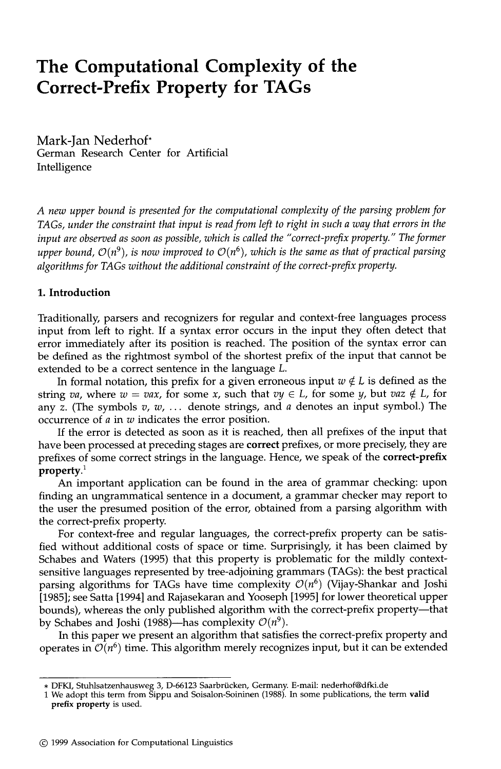# **The Computational Complexity of the Correct-Prefix Property for TAGs**

Mark-Jan Nederhof\* German Research Center for Artificial Intelligence

*A new upper bound is presented for the computational complexity of the parsing problem for TAGs, under the constraint that input is read from left to right in such a way that errors in the input are observed as soon as possible, which is called the "correct-prefix property." The former upper bound,*  $O(n^9)$ , *is now improved to*  $O(n^6)$ , *which is the same as that of practical parsing algorithms for TAGs without the additional constraint of the correct-prefix property.* 

#### **1. Introduction**

Traditionally, parsers and recognizers for regular and context-free languages process input from left to right. If a syntax error occurs in the input they often detect that error immediately after its position is reached. The position of the syntax error can be defined as the rightmost symbol of the shortest prefix of the input that cannot be extended to be a correct sentence in the language L.

In formal notation, this prefix for a given erroneous input  $w \notin L$  is defined as the string *va*, where  $w = vax$ , for some x, such that  $vy \in L$ , for some y, but  $vaz \notin L$ , for any z. (The symbols  $v, w, \ldots$  denote strings, and a denotes an input symbol.) The occurrence of a in w indicates the error position.

If the error is detected as soon as it is reached, then all prefixes of the input that have been processed at preceding stages are *correct* prefixes, or more precisely, they are prefixes of some correct strings in the language. Hence, we speak of the **correct-prefix property. 1** 

An important application can be found in the area of grammar checking: upon finding an ungrammatical sentence in a document, a grammar checker may report to the user the presumed position of the error, obtained from a parsing algorithm with the correct-prefix property.

For context-free and regular languages, the correct-prefix property can be satisfied without additional costs of space or time. Surprisingly, it has been claimed by Schabes and Waters (1995) that this property is problematic for the mildly contextsensitive languages represented by tree-adjoining grammars (TAGs): the best practical parsing algorithms for TAGs have time complexity  $\mathcal{O}(n^6)$  (Vijay-Shankar and Joshi [1985]; see Satta [1994] and Rajasekaran and Yooseph [1995] for lower theoretical upper bounds), whereas the only published algorithm with the correct-prefix property--that by Schabes and Joshi (1988)—has complexity  $\mathcal{O}(n^9)$ .

In this paper we present an algorithm that satisfies the correct-prefix property and operates in  $\mathcal{O}(n^6)$  time. This algorithm merely recognizes input, but it can be extended

<sup>\*</sup> DFKI, Stuhlsatzenhausweg 3, D-66123 Saarbriicken, Germany. E-mail: nederhof@dfki.de

<sup>1</sup> We adopt this term from Sippu and Soisalon-Soininen (1988). In some publications, the term **valid prefix property** is used.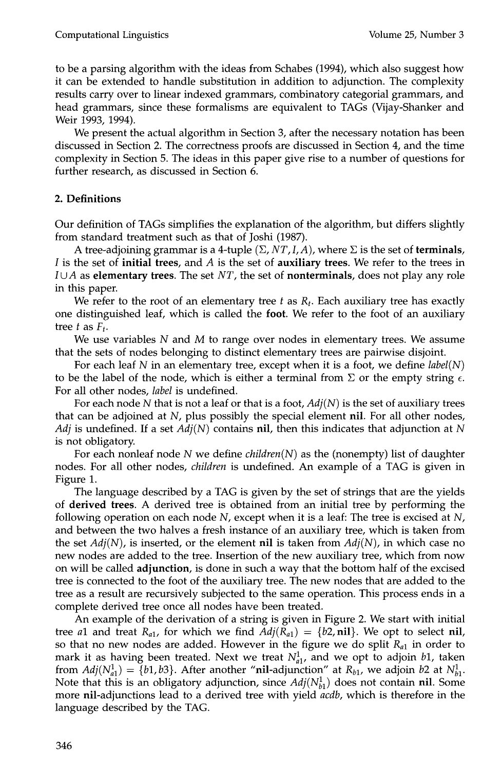to be a parsing algorithm with the ideas from Schabes (1994), which also suggest how it can be extended to handle substitution in addition to adjunction. The complexity results carry over to linear indexed grammars, combinatory categorial grammars, and head grammars, since these formalisms are equivalent to TAGs (Vijay-Shanker and Weir 1993, 1994).

We present the actual algorithm in Section 3, after the necessary notation has been discussed in Section 2. The correctness proofs are discussed in Section 4, and the time complexity in Section 5. The ideas in this paper give rise to a number of questions for further research, as discussed in Section 6.

## **2. Definitions**

Our definition of TAGs simplifies the explanation of the algorithm, but differs slightly from standard treatment such as that of Joshi (1987).

A tree-adjoining grammar is a 4-tuple  $(\Sigma, NT, I, A)$ , where  $\Sigma$  is the set of **terminals**, I is the set of **initial trees,** and A is the set of auxiliary trees. We refer to the trees in  $I \cup A$  as elementary trees. The set NT, the set of **nonterminals**, does not play any role in this paper.

We refer to the root of an elementary tree  $t$  as  $R_t$ . Each auxiliary tree has exactly one distinguished leaf, which is called the **foot.** We refer to the foot of an auxiliary tree  $t$  as  $F_t$ .

We use variables  $N$  and  $M$  to range over nodes in elementary trees. We assume that the sets of nodes belonging to distinct elementary trees are pairwise disjoint.

For each leaf N in an elementary tree, except when it is a foot, we define *label(N)*  to be the label of the node, which is either a terminal from  $\Sigma$  or the empty string  $\epsilon$ . For all other nodes, *label* is undefined.

For each node N that is not a leaf or that is a foot,  $Adj(N)$  is the set of auxiliary trees that can be adjoined at  $N$ , plus possibly the special element nil. For all other nodes, *Adj* is undefined. If a set  $Adj(N)$  contains nil, then this indicates that adjunction at N is not obligatory.

For each nonleaf node N we define *children(N)* as the (nonempty) list of daughter nodes. For all other nodes, *children* is undefined. An example of a TAG is given in Figure 1.

The language described by a TAG is given by the set of strings that are the yields of derived trees. A derived tree is obtained from an initial tree by performing the following operation on each node  $N$ , except when it is a leaf: The tree is excised at  $N$ , and between the two halves a fresh instance of an auxiliary tree, which is taken from the set *Adj(N),* is inserted, or the element **nil** is taken from *Adj(N),* in which case no new nodes are added to the tree. Insertion of the new auxiliary tree, which from now on will be called **adjunction**, is done in such a way that the bottom half of the excised tree is connected to the foot of the auxiliary tree. The new nodes that are added to the tree as a result are recursively subjected to the same operation. This process ends in a complete derived tree once all nodes have been treated.

An example of the derivation of a string is given in Figure 2. We start with initial tree *a*1 and treat  $R_{a1}$ , for which we find  $Adj(R_{a1}) = \{b2, \text{nil}\}\.$  We opt to select nil, so that no new nodes are added. However in the figure we do split *Ral* in order to mark it as having been treated. Next we treat  $N_{a1}^1$ , and we opt to adjoin  $b1$ , taken from  $Adj(N^1_{a1}) = \{b1, b3\}$ . After another "nil-adjunction" at  $R_{b1}$ , we adjoin b2 at  $N^1_{b1}$ . Note that this is an obligatory adjunction, since  $Adj(N_{h1}^1)$  does not contain nil. Some more nil-adjunctions lead to a derived tree with yield *acdb,* which is therefore in the language described by the TAG.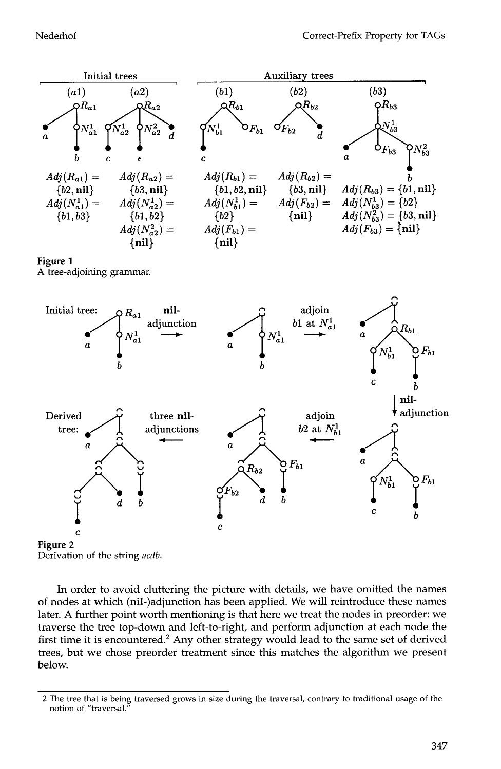

Derivation of the string *acdb.* 

In order to avoid cluttering the picture with details, we have omitted the names of nodes at which (nil-)adjunction has been applied. We will reintroduce these names later. A further point worth mentioning is that here we treat the nodes in preorder: we traverse the tree top-down and left-to-right, and perform adjunction at each node the first time it is encountered.<sup>2</sup> Any other strategy would lead to the same set of derived trees, but we chose preorder treatment since this matches the algorithm we present below.

<sup>2</sup> The tree that is being traversed grows in size during the traversal, contrary to traditional usage of the notion of "traversal."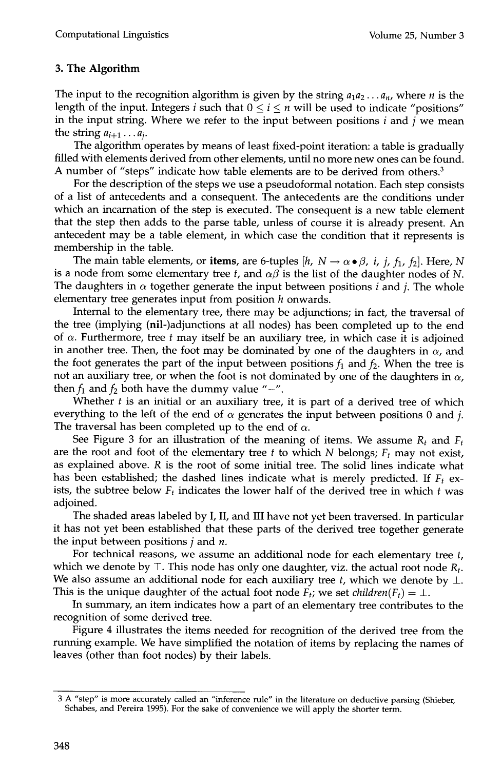## **3. The Algorithm**

The input to the recognition algorithm is given by the string  $a_1a_2...a_n$ , where *n* is the length of the input. Integers i such that  $0 \le i \le n$  will be used to indicate "positions" in the input string. Where we refer to the input between positions  $i$  and  $j$  we mean the string  $a_{i+1} \ldots a_i$ .

The algorithm operates by means of least fixed-point iteration: a table is gradually filled with elements derived from other elements, until no more new ones can be found. A number of "steps" indicate how table elements are to be derived from others.<sup>3</sup>

For the description of the steps we use a pseudoformal notation. Each step consists of a list of antecedents and a consequent. The antecedents are the conditions under which an incarnation of the step is executed. The consequent is a new table element that the step then adds to the parse table, unless of course it is already present. An antecedent may be a table element, in which case the condition that it represents is membership in the table.

The main table elements, or items, are 6-tuples  $[h, N \rightarrow \alpha \bullet \beta, i, j, f_1, f_2]$ . Here, N is a node from some elementary tree t, and  $\alpha\beta$  is the list of the daughter nodes of N. The daughters in  $\alpha$  together generate the input between positions *i* and *j*. The whole elementary tree generates input from position  $h$  onwards.

Internal to the elementary tree, there may be adjunctions; in fact, the traversal of the tree (implying (nil-)adjunctions at all nodes) has been completed up to the end of  $\alpha$ . Furthermore, tree t may itself be an auxiliary tree, in which case it is adjoined in another tree. Then, the foot may be dominated by one of the daughters in  $\alpha$ , and the foot generates the part of the input between positions  $f_1$  and  $f_2$ . When the tree is not an auxiliary tree, or when the foot is not dominated by one of the daughters in  $\alpha$ , then  $f_1$  and  $f_2$  both have the dummy value "-".

Whether  $t$  is an initial or an auxiliary tree, it is part of a derived tree of which everything to the left of the end of  $\alpha$  generates the input between positions 0 and j. The traversal has been completed up to the end of  $\alpha$ .

See Figure 3 for an illustration of the meaning of items. We assume  $R_t$  and  $F_t$ are the root and foot of the elementary tree t to which N belongs;  $F_t$  may not exist, as explained above. R is the root of some initial tree. The solid lines indicate what has been established; the dashed lines indicate what is merely predicted. If  $F_t$  exists, the subtree below  $F_t$  indicates the lower half of the derived tree in which  $t$  was adjoined.

The shaded areas labeled by I, II, and III have not yet been traversed. In particular it has not yet been established that these parts of the derived tree together generate the input between positions  $j$  and  $n$ .

For technical reasons, we assume an additional node for each elementary tree t, which we denote by  $\top$ . This node has only one daughter, viz. the actual root node  $R_t$ . We also assume an additional node for each auxiliary tree t, which we denote by  $\perp$ . This is the unique daughter of the actual foot node  $F_t$ ; we set *children*( $F_t$ ) =  $\perp$ .

In summary, an item indicates how a part of an elementary tree contributes to the recognition of some derived tree.

Figure 4 illustrates the items needed for recognition of the derived tree from the running example. We have simplified the notation of items by replacing the names of leaves (other than foot nodes) by their labels.

<sup>3</sup> A "step" is more accurately called an "inference rule" in the literature on deductive parsing (Shieber, Schabes, and Pereira 1995). For the sake of convenience we will apply the shorter term.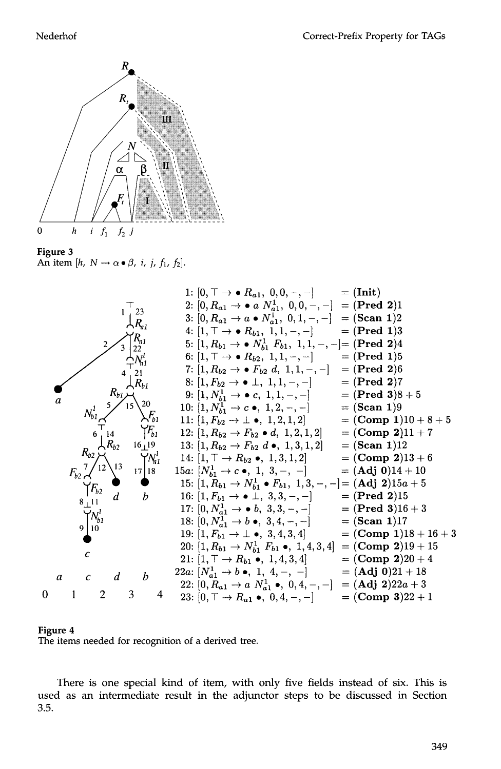

Figure 3 An item [h,  $N \rightarrow \alpha \bullet \beta$ , i, j, f<sub>1</sub>, f<sub>2</sub>].





There is one special kind of item, with only five fields instead of six. This is used as an intermediate result in the adjunctor steps to be discussed in Section 3.5.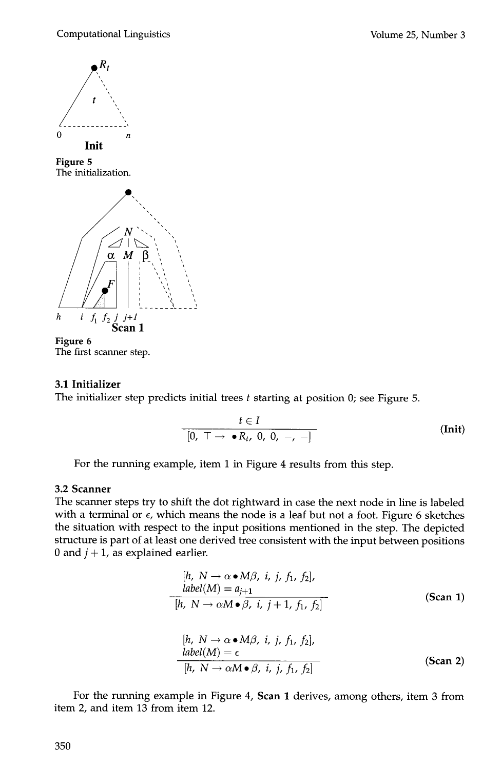



## **3.1 Initializer**

The initializer step predicts initial trees  $t$  starting at position 0; see Figure 5.

$$
\frac{t \in I}{[0, \top \rightarrow \bullet R_t, 0, 0, -, -]} \tag{Init}
$$

For the running example, item 1 in Figure 4 results from this step.

## **3.2 Scanner**

The scanner steps try to shift the dot rightward in case the next node in line is labeled with a terminal or  $\epsilon$ , which means the node is a leaf but not a foot. Figure 6 sketches the situation with respect to the input positions mentioned in the step. The depicted structure is part of at least one derived tree consistent with the input between positions 0 and  $j + 1$ , as explained earlier.

$$
[h, N \to \alpha \bullet M\beta, i, j, f_1, f_2],
$$
  
\n
$$
label(M) = a_{j+1}
$$
  
\n
$$
[h, N \to \alpha M \bullet \beta, i, j+1, f_1, f_2]
$$
  
\n
$$
[h, N \to \alpha \bullet M\beta, i, j, f_1, f_2],
$$
  
\n
$$
label(M) = \epsilon
$$
  
\n
$$
[h, N \to \alpha M\bullet \beta, i, j, f_1, f_2]
$$
  
\n(Scan 2)

For the running example in Figure 4, Scan 1 derives, among others, item 3 from item 2, and item 13 from item 12.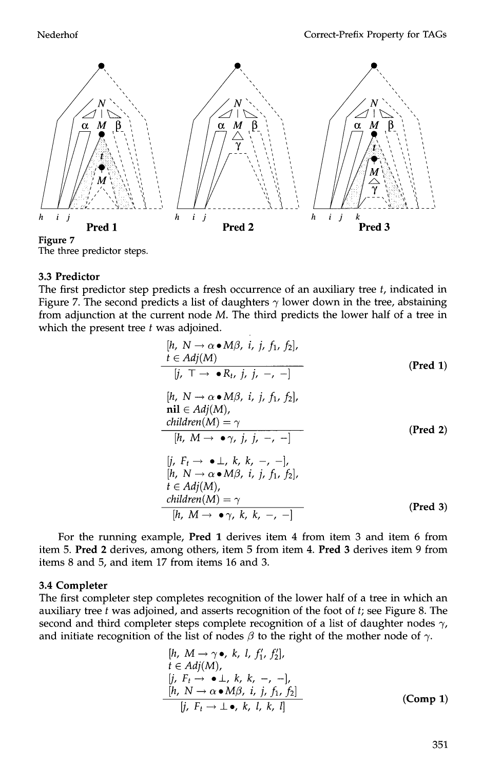

The three predictor steps.

#### 3.3 **Predictor**

The first predictor step predicts a fresh occurrence of an auxiliary tree  $t$ , indicated in Figure 7. The second predicts a list of daughters  $\gamma$  lower down in the tree, abstaining from adjunction at the current node M. The third predicts the lower half of a tree in which the present tree  $t$  was adjoined.

| $[h, N \rightarrow \alpha \bullet M\beta, i, j, f_1, f_2],$ | $t \in Adj(M)$                                              |                 |
|-------------------------------------------------------------|-------------------------------------------------------------|-----------------|
| $[j, T \rightarrow \bullet R_t, j, j, -, -]$                | (Pred 1)                                                    |                 |
| $[h, N \rightarrow \alpha \bullet M\beta, i, j, f_1, f_2],$ | $\text{nil } \in Adj(M),$                                   |                 |
| $\text{nil } \in Adj(M)$                                    | $\text{children}(M) = \gamma$                               | (Pred 2)        |
| $[h, M \rightarrow \bullet \gamma, j, j, -, -]$             | $[h, N \rightarrow \alpha \bullet M\beta, i, j, f_1, f_2],$ | $t \in Adj(M),$ |
| $\text{children}(M) = \gamma$                               | (Pred 3)                                                    |                 |

For the running example, Pred 1 derives item 4 from item 3 and item 6 from item 5. Pred 2 derives, among others, item 5 from item 4. Pred 3 derives item 9 from items 8 and 5, and item 17 from items 16 and 3.

## 3.4 **Completer**

The first completer step completes recognition of the lower half of a tree in which an auxiliary tree  $t$  was adjoined, and asserts recognition of the foot of  $t$ ; see Figure 8. The second and third completer steps complete recognition of a list of daughter nodes  $\gamma$ , and initiate recognition of the list of nodes  $\beta$  to the right of the mother node of  $\gamma$ .

$$
[h, M \rightarrow \gamma \bullet, k, l, f'_1, f'_2],
$$
  
\n
$$
t \in Adj(M),
$$
  
\n
$$
[j, F_t \rightarrow \bullet \bot, k, k, -, -],
$$
  
\n
$$
[h, N \rightarrow \alpha \bullet M\beta, i, j, f_1, f_2]
$$
  
\n
$$
[j, F_t \rightarrow \bot \bullet, k, l, k, l]
$$
\n(Comp 1)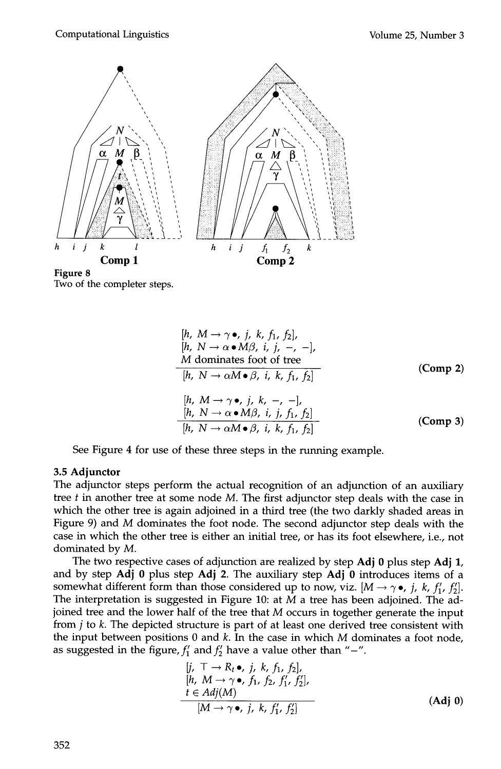

**Figure 8**  Two of the completer steps.

| $[h, M \rightarrow \gamma \bullet, j, k, f_1, f_2],$        |
|-------------------------------------------------------------|
| $[h, N \rightarrow \alpha \bullet M\beta, i, j, -, -],$     |
| $M$ dominates foot of tree                                  |
| $[h, N \rightarrow \alpha M \bullet \beta, i, k, f_1, f_2]$ |
| $[h, M \rightarrow \gamma \bullet, j, k, -, -],$            |
| $[h, N \rightarrow \alpha \bullet M\beta, i, j, f_1, f_2]$  |
| $[h, N \rightarrow \alpha M \bullet \beta, i, k, f_1, f_2]$ |

\n(Comp 3)

See Figure 4 for use of these three steps in the running example.

## **3.5 Adjunctor**

The adjunctor steps perform the actual recognition of an adjunction of an auxiliary tree  $t$  in another tree at some node  $M$ . The first adjunctor step deals with the case in which the other tree is again adjoined in a third tree (the two darkly shaded areas in Figure 9) and M dominates the foot node. The second adjunctor step deals with the case in which the other tree is either an initial tree, or has its foot elsewhere, i.e., not dominated by M.

The two respective cases of adjunction are realized by step Adj 0 plus step Adj 1, and by step Adj 0 plus step Adj 2. The auxiliary step Adj 0 introduces items of a somewhat different form than those considered up to now, viz.  $[M \rightarrow \gamma \bullet, j, k, f'_{1}, f'_{2}].$ The interpretation is suggested in Figure 10: at  $M$  a tree has been adjoined. The adjoined tree and the lower half of the tree that M occurs in together generate the input from  $j$  to  $k$ . The depicted structure is part of at least one derived tree consistent with the input between positions  $0$  and  $k$ . In the case in which  $M$  dominates a foot node, as suggested in the figure,  $f'_1$  and  $f'_2$  have a value other than "-".

$$
[j, \top \to R_t \bullet, j, k, f_1, f_2],
$$
  
\n
$$
[h, M \to \gamma \bullet, f_1, f_2, f'_1, f'_2],
$$
  
\n
$$
t \in Adj(M)
$$
  
\n
$$
[M \to \gamma \bullet, j, k, f'_1, f'_2]
$$
\n(Adj 0)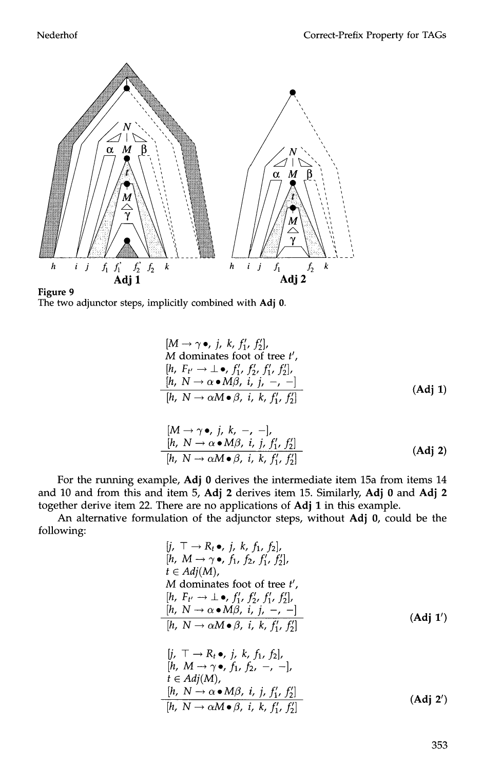



$$
[M \rightarrow \gamma \bullet, j, k, f'_1, f'_2],
$$
  
M dominates foot of tree *t'*,  

$$
[h, F_{t'} \rightarrow \bot \bullet, f'_1, f'_2, f'_1, f'_2],
$$
  

$$
[h, N \rightarrow \alpha \bullet M\beta, i, j, -, -]
$$
  

$$
[h, N \rightarrow \alpha M \bullet \beta, i, k, f'_1, f'_2]
$$
  
(Adj 1)

$$
[M \to \gamma \bullet, j, k, -, -],
$$
  
\n
$$
[h, N \to \alpha \bullet M\beta, i, j, f'_1, f'_2]
$$
  
\n
$$
[h, N \to \alpha M \bullet \beta, i, k, f'_1, f'_2]
$$
\n
$$
(Adj 2)
$$

For the running example, Adj 0 derives the intermediate item 15a from items 14 and 10 and from this and item 5, Adj 2 derives item 15. Similarly, Adj 0 and Adj 2 together derive item 22. There are no applications of Adj 1 in this example.

An alternative formulation of the adjunctor steps, without Adj 0, could be the following:

$$
[j, \top \rightarrow R_t \bullet, j, k, f_1, f_2],
$$
  
\n
$$
[h, M \rightarrow \gamma \bullet, f_1, f_2, f'_1, f'_2],
$$
  
\n
$$
t \in Adj(M),
$$
  
\nM dominates foot of tree t',  
\n
$$
[h, F_{t'} \rightarrow \bot \bullet, f'_1, f'_2, f'_1, f'_2],
$$
  
\n
$$
[h, N \rightarrow \alpha \bullet M\beta, i, j, -, -]
$$
  
\n
$$
[h, N \rightarrow \alpha M \bullet \beta, i, k, f'_1, f'_2]
$$
  
\n
$$
[j, \top \rightarrow R_t \bullet, j, k, f_1, f_2],
$$
  
\n
$$
[h, M \rightarrow \gamma \bullet, f_1, f_2, -, -],
$$
  
\n
$$
t \in Adj(M),
$$
  
\n
$$
[h, N \rightarrow \alpha \bullet M\beta, i, j, f'_1, f'_2]
$$
  
\n
$$
[h, N \rightarrow \alpha M \bullet \beta, i, k, f'_1, f'_2]
$$
  
\n
$$
(Adj 2')
$$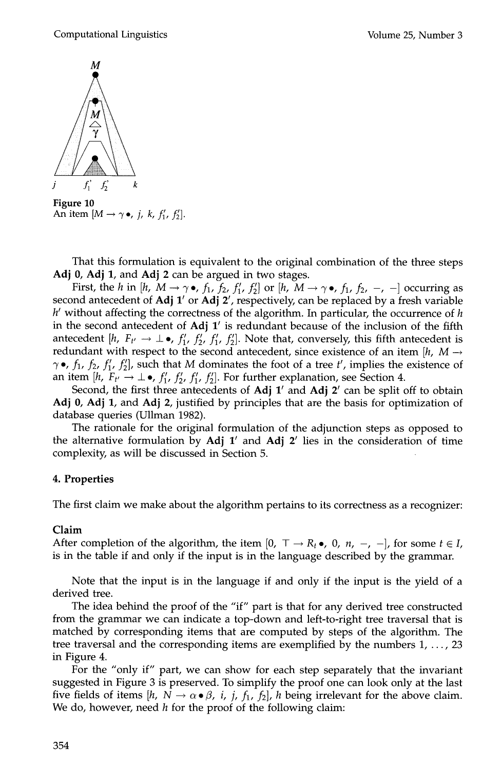

**Figure 10**  An item  $[M \rightarrow \gamma \bullet, j, k, f'_1, f'_2]$ .

That this formulation is equivalent to the original combination of the three steps Adj 0, Adj 1, and Adj 2 can be argued in two stages.

First, the *h* in [h,  $M \rightarrow \gamma \bullet$ ,  $f_1$ ,  $f_2$ ,  $f'_1$ ,  $f'_2$ ] or [h,  $M \rightarrow \gamma \bullet$ ,  $f_1$ ,  $f_2$ ,  $-$ ,  $-$ ] occurring as second antecedent of Adj  $1'$  or Adj  $2'$ , respectively, can be replaced by a fresh variable  $h'$  without affecting the correctness of the algorithm. In particular, the occurrence of h in the second antecedent of  $Adj 1'$  is redundant because of the inclusion of the fifth antecedent [h,  $F_{t'} \rightarrow \perp \bullet$ ,  $f'_1$ ,  $f'_2$ ,  $f'_1$ ,  $f'_2$ ]. Note that, conversely, this fifth antecedent is redundant with respect to the second antecedent, since existence of an item [h,  $M \rightarrow$  $\gamma \bullet$ ,  $f_1$ ,  $f_2$ ,  $f'_1$ ,  $f'_2$ ], such that M dominates the foot of a tree t', implies the existence of an item [h,  $F_{t'} \rightarrow \perp \bullet$ ,  $f'_1$ ,  $f'_2$ ,  $f'_1$ ,  $f'_2$ ]. For further explanation, see Section 4.

Second, the first three antecedents of  $\text{Adj} 1'$  and  $\text{Adj} 2'$  can be split off to obtain Adj 0, Adj 1, and Adj 2, justified by principles that are the basis for optimization of database queries (Ullman 1982).

The rationale for the original formulation of the adjunction steps as opposed to the alternative formulation by Adj  $1'$  and Adj  $2'$  lies in the consideration of time complexity, as will be discussed in Section 5.

## **4. Properties**

The first claim we make about the algorithm pertains to its correctness as a recognizer:

## **Claim**

After completion of the algorithm, the item  $[0, \top \rightarrow R_t \bullet, 0, n, -, -]$ , for some  $t \in I$ , is in the table if and only if the input is in the language described by the grammar.

Note that the input is in the language if and only if the input is the yield of a derived tree.

The idea behind the proof of the "if" part is that for any derived tree constructed from the grammar we can indicate a top-down and left-to-right tree traversal that is matched by corresponding items that are computed by steps of the algorithm. The tree traversal and the corresponding items are exemplified by the numbers  $1, \ldots, 23$ in Figure 4.

For the "only if" part, we can show for each step separately that the invariant suggested in Figure 3 is preserved. To simplify the proof one can look only at the last five fields of items [h,  $N \to \alpha \bullet \beta$ , i, j, f<sub>1</sub>, f<sub>2</sub>], h being irrelevant for the above claim. We do, however, need  $h$  for the proof of the following claim: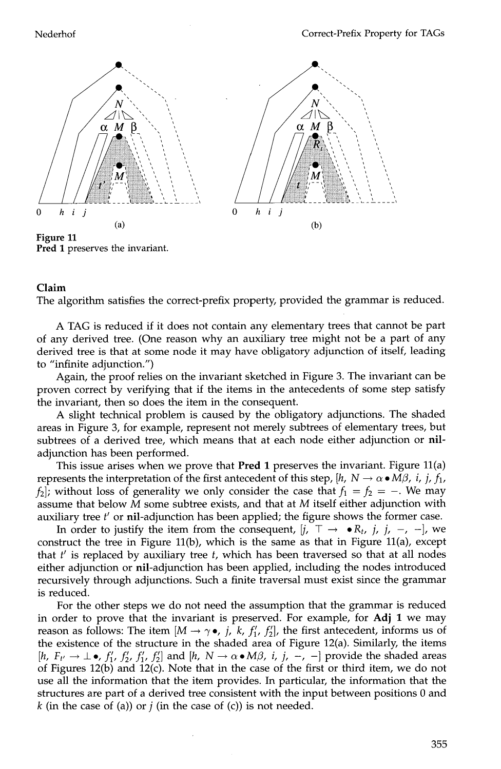

## Pred 1 preserves the invariant.

## **Claim**

The algorithm satisfies the correct-prefix property, provided the grammar is reduced.

A TAG is reduced if it does not contain any elementary trees that cannot be part of any derived tree. (One reason why an auxiliary tree might not be a part of any derived tree is that at some node it may have obligatory adjunction of itself, leading to "infinite adjunction.")

Again, the proof relies on the invariant sketched in Figure 3. The invariant can be proven correct by verifying that if the items in the antecedents of some step satisfy the invariant, then so does the item in the consequent.

A slight technical problem is caused by the obligatory adjunctions. The shaded areas in Figure 3, for example, represent not merely subtrees of elementary trees, but subtrees of a derived tree, which means that at each node either adjunction or niladjunction has been performed.

This issue arises when we prove that **Pred 1** preserves the invariant. Figure  $11(a)$ represents the interpretation of the first antecedent of this step,  $[h, N \rightarrow \alpha \bullet M\beta, i, j, f_1,$  $f_2$ ; without loss of generality we only consider the case that  $f_1 = f_2 = -$ . We may assume that below  $M$  some subtree exists, and that at  $M$  itself either adjunction with auxiliary tree  $t'$  or nil-adjunction has been applied; the figure shows the former case.

In order to justify the item from the consequent,  $|j, \top \rightarrow \bullet R_t, j, j, -$ ,  $-$ , we construct the tree in Figure 11(b), which is the same as that in Figure 11(a), except that  $t'$  is replaced by auxiliary tree  $t$ , which has been traversed so that at all nodes either adjunction or nil-adjunction has been applied, including the nodes introduced recursively through adjunctions. Such a finite traversal must exist since the grammar is reduced.

For the other steps we do not need the assumption that the grammar is reduced in order to prove that the invariant is preserved. For example, for Adj 1 we may reason as follows: The item  $[M \rightarrow \gamma \bullet, j, k, f'_{1}, f'_{2}]$ , the first antecedent, informs us of the existence of the structure in the shaded area of Figure 12(a). Similarly, the items [h,  $F_{t'} \to \pm \bullet$ ,  $f'_1$ ,  $f'_2$ ,  $f'_1$ ,  $f'_2$ ] and [h,  $N \to \alpha \bullet M\beta$ , *i*, *j*, -, -] provide the shaded areas of Figures 12(b) and 12(c). Note that in the case of the first or third item, we do not use all the information that the item provides. In particular, the information that the structures are part of a derived tree consistent with the input between positions 0 and k (in the case of (a)) or  $j$  (in the case of (c)) is not needed.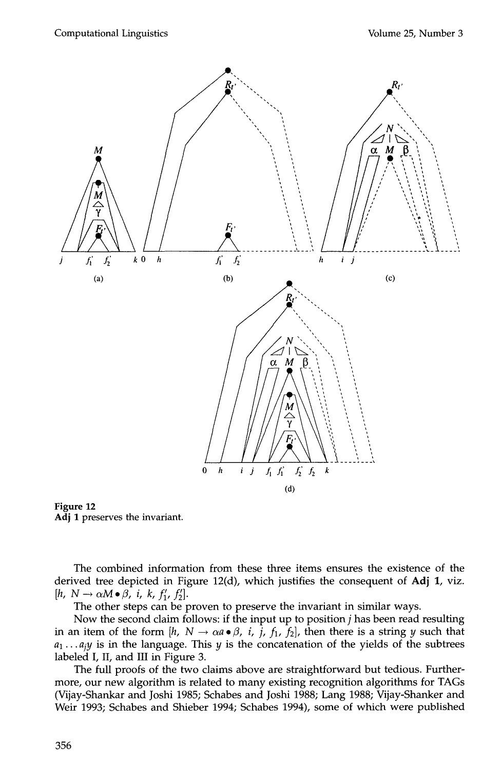

**Figure 12**  Adj 1 preserves the invariant.

The combined information from these three items ensures the existence of the derived tree depicted in Figure 12(d), which justifies the consequent of Adj 1, viz.  $[h, N \rightarrow \alpha M \bullet \beta, i, k, f'_1, f'_2].$ 

The other steps can be proven to preserve the invariant in similar ways.

Now the second claim follows: if the input up to position j has been read resulting in an item of the form [h,  $N \to \alpha a \cdot \beta$ , i, j, f<sub>1</sub>, f<sub>2</sub>], then there is a string y such that  $a_1 \ldots a_j y$  is in the language. This  $y$  is the concatenation of the yields of the subtrees labeled I, II, and III in Figure 3.

The full proofs of the two claims above are straightforward but tedious. Furthermore, our new algorithm is related to many existing recognition algorithms for TAGs (Vijay-Shankar and Joshi 1985; Schabes and Joshi 1988; Lang 1988; Vijay-Shanker and Weir 1993; Schabes and Shieber 1994; Schabes 1994), some of which were published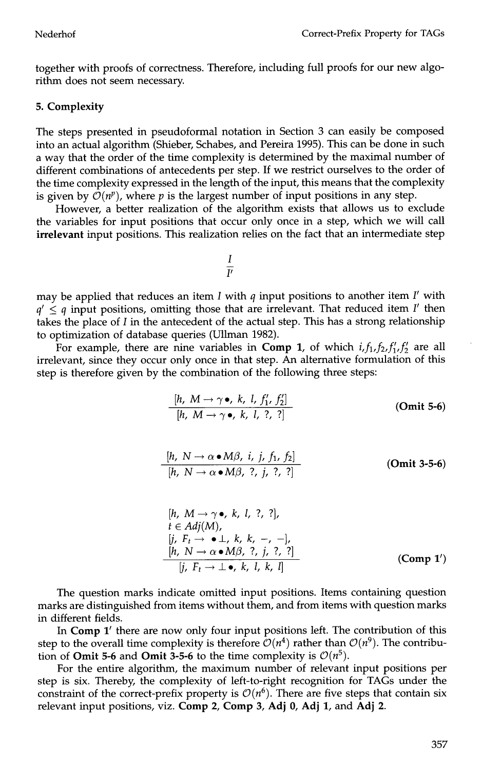together with proofs of correctness. Therefore, including full proofs for our new algorithm does not seem necessary.

#### **5. Complexity**

The steps presented in pseudoformal notation in Section 3 can easily be composed into an actual algorithm (Shieber, Schabes, and Pereira 1995). This can be done in such a way that the order of the time complexity is determined by the maximal number of different combinations of antecedents per step. If we restrict ourselves to the order of the time complexity expressed in the length of the input, this means that the complexity is given by  $\mathcal{O}(n^p)$ , where p is the largest number of input positions in any step.

However, a better realization of the algorithm exists that allows us to exclude the variables for input positions that occur only once in a step, which we will call irrelevant input positions. This realization relies on the fact that an intermediate step

$$
\frac{I}{\overline{\nu}}
$$

may be applied that reduces an item I with q input positions to another item *I'* with  $q' \leq q$  input positions, omitting those that are irrelevant. That reduced item I' then takes the place of  $I$  in the antecedent of the actual step. This has a strong relationship to optimization of database queries (Ullman 1982).

For example, there are nine variables in **Comp 1**, of which  $i, f_1, f_2, f'_1, f'_2$  are all irrelevant, since they occur only once in that step. An alternative formulation of this step is therefore given by the combination of the following three steps:

$$
\frac{[h, M \rightarrow \gamma \bullet, k, l, f'_1, f'_2]}{[h, M \rightarrow \gamma \bullet, k, l, ?, ?]}
$$
 (Omit 5-6)

$$
\frac{[h, N \to \alpha \bullet M\beta, i, j, f_1, f_2]}{[h, N \to \alpha \bullet M\beta, ?, j, ?, ?]}
$$
 (Omit 3-5-6)

$$
[h, M \rightarrow \gamma \bullet, k, l, ?, ?],
$$
  
\n $t \in Adj(M),$   
\n $[j, F_t \rightarrow \bullet \bot, k, k, -, -],$   
\n $[h, N \rightarrow \alpha \bullet M\beta, ?, j, ?, ?]$   
\n $[j, F_t \rightarrow \bot \bullet, k, l, k, l]$  (Comp 1')

The question marks indicate omitted input positions. Items containing question marks are distinguished from items without them, and from items with question marks in different fields.

In Comp 1' there are now only four input positions left. The contribution of this step to the overall time complexity is therefore  $\mathcal{O}(n^4)$  rather than  $\mathcal{O}(n^9)$ . The contribution of **Omit 5-6** and **Omit 3-5-6** to the time complexity is  $O(n^5)$ .

For the entire algorithm, the maximum number of relevant input positions per step is six. Thereby, the complexity of left-to-right recognition for TAGs under the constraint of the correct-prefix property is  $\mathcal{O}(n^6)$ . There are five steps that contain six relevant input positions, viz. Comp 2, Comp 3, Adj 0, Adj 1, and Adj 2.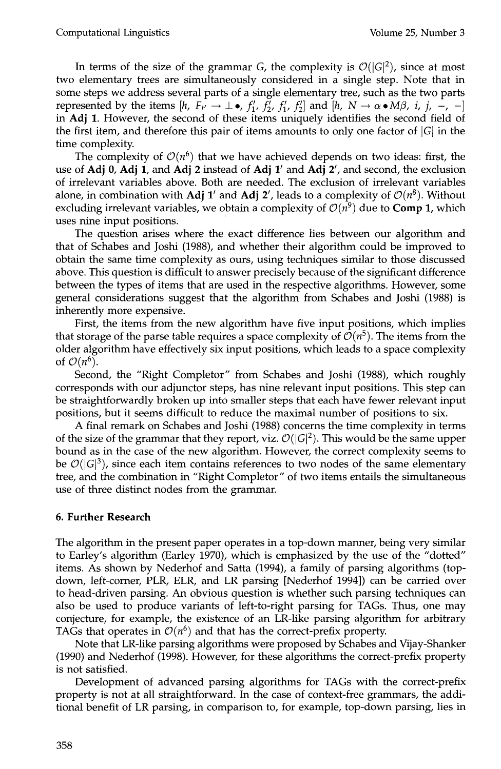In terms of the size of the grammar G, the complexity is  $\mathcal{O}(|G|^2)$ , since at most two elementary trees are simultaneously considered in a single step. Note that in some steps we address several parts of a single elementary tree, such as the two parts represented by the items  $[h, F_{t'} \rightarrow \perp \bullet, f'_1, f'_2, f'_1, f'_2]$  and  $[h, N \rightarrow \alpha \bullet M\beta, i, j, -, -]$ in Adj 1. However, the second of these items uniquely identifies the second field of the first item, and therefore this pair of items amounts to only one factor of  $|G|$  in the time complexity.

The complexity of  $\mathcal{O}(n^6)$  that we have achieved depends on two ideas: first, the use of Adj 0, Adj 1, and Adj 2 instead of Adj  $1'$  and Adj  $2'$ , and second, the exclusion of irrelevant variables above. Both are needed. The exclusion of irrelevant variables alone, in combination with Adj 1' and Adj 2', leads to a complexity of  $\mathcal{O}(n^8)$ . Without excluding irrelevant variables, we obtain a complexity of  $O(n^9)$  due to **Comp 1**, which uses nine input positions.

The question arises where the exact difference lies between our algorithm and that of Schabes and Joshi (1988), and whether their algorithm could be improved to obtain the same time complexity as ours, using techniques similar to those discussed above. This question is difficult to answer precisely because of the significant difference between the types of items that are used in the respective algorithms. However, some general considerations suggest that the algorithm from Schabes and Joshi (1988) is inherently more expensive.

First, the items from the new algorithm have five input positions, which implies that storage of the parse table requires a space complexity of  $\mathcal{O}(n^5)$ . The items from the older algorithm have effectively six input positions, which leads to a space complexity of  $\mathcal{O}(n^6)$ .

Second, the "Right Completor" from Schabes and Joshi (1988), which roughly corresponds with our adjunctor steps, has nine relevant input positions. This step can be straightforwardly broken up into smaller steps that each have fewer relevant input positions, but it seems difficult to reduce the maximal number of positions to six.

A final remark on Schabes and Joshi (1988) concerns the time complexity in terms of the size of the grammar that they report, viz.  $\mathcal{O}(|G|^2)$ . This would be the same upper bound as in the case of the new algorithm. However, the correct complexity seems to be  $\mathcal{O}(|G|^3)$ , since each item contains references to two nodes of the same elementary tree, and the combination in "Right Completor" of two items entails the simultaneous use of three distinct nodes from the grammar.

#### **6. Further Research**

The algorithm in the present paper operates in a top-down manner, being very similar to Earley's algorithm (Earley 1970), which is emphasized by the use of the "dotted" items. As shown by Nederhof and Satta (1994), a family of parsing algorithms (topdown, left-corner, PLR, ELR, and LR parsing [Nederhof 1994]) can be carried over to head-driven parsing. An obvious question is whether such parsing techniques can also be used to produce variants of left-to-right parsing for TAGs. Thus, one may conjecture, for example, the existence of an LR-like parsing algorithm for arbitrary TAGs that operates in  $O(n^6)$  and that has the correct-prefix property.

Note that LR-like parsing algorithms were proposed by Schabes and Vijay-Shanker (1990) and Nederhof (1998). However, for these algorithms the correct-prefix property is not satisfied.

Development of advanced parsing algorithms for TAGs with the correct-prefix property is not at all straightforward. In the case of context-free grammars, the additional benefit of LR parsing, in comparison to, for example, top-down parsing, lies in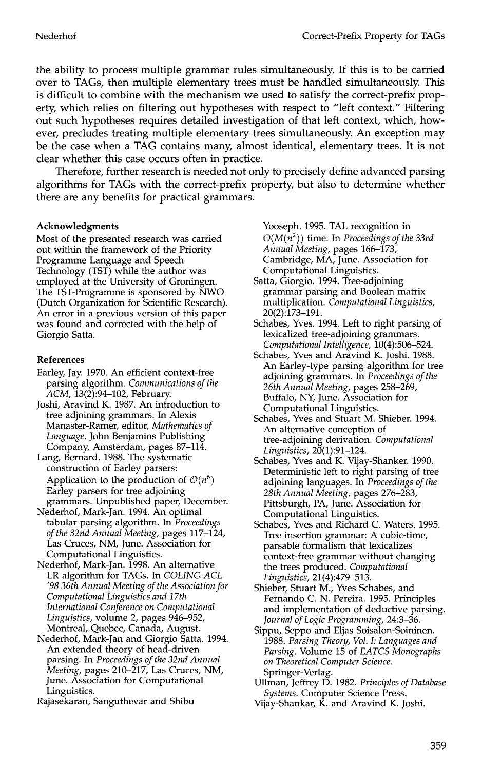the ability to process multiple grammar rules simultaneously. If this is to be carried over to TAGs, then multiple elementary trees must be handled simultaneously. This is difficult to combine with the mechanism we used to satisfy the correct-prefix property, which relies on filtering out hypotheses with respect to "left context." Filtering out such hypotheses requires detailed investigation of that left context, which, however, precludes treating multiple elementary trees simultaneously. An exception may be the case when a TAG contains many, almost identical, elementary trees. It is not clear whether this case occurs often in practice.

Therefore, further research is needed not only to precisely define advanced parsing algorithms for TAGs with the correct-prefix property, but also to determine whether there are any benefits for practical grammars.

#### **Acknowledgments**

Most of the presented research was carried out within the framework of the Priority Programme Language and Speech Technology (TST) while the author was employed at the University of Groningen. The TST-Programme is sponsored by NWO (Dutch Organization for Scientific Research). An error in a previous version of this paper was found and corrected with the help of Giorgio Satta.

#### **References**

- Earley, Jay. 1970. An efficient context-free parsing algorithm. *Communications of the ACM,* 13(2):94-102, February.
- Joshi, Aravind K. 1987. An introduction to tree adjoining grammars. In Alexis Manaster-Ramer, editor, *Mathematics of Language.* John Benjamins Publishing Company, Amsterdam, pages 87-114.
- Lang, Bernard. 1988. The systematic construction of Earley parsers: Application to the production of  $\mathcal{O}(n^6)$ Earley parsers for tree adjoining grammars. Unpublished paper, December.
- Nederhof, Mark-Jan. 1994. An optimal tabular parsing algorithm. In *Proceedings of the 32nd Annual Meeting,* pages 117-124, Las Cruces, NM, June. Association for Computational Linguistics.
- Nederhof, Mark-Jan. 1998. An alternative LR algorithm for TAGs. In *COLING-ACL '98 36th Annual Meeting of the Association for Computational Linguistics and 17th International Conference on Computational Linguistics,* volume 2, pages 946-952, Montreal, Quebec, Canada, August.
- Nederhof, Mark-Jan and Giorgio Satta. 1994. An extended theory of head-driven parsing. In *Proceedings o/the 32nd Annual Meeting,* pages 210-217, Las Cruces, NM, June. Association for Computational Linguistics.
- Rajasekaran, Sanguthevar and Shibu

Yooseph. 1995. TAL recognition in *O(M(n2) )* time. In *Proceedings of the 33rd Annual Meeting,* pages 166-173, Cambridge, MA, June. Association for Computational Linguistics.

- Satta, Giorgio. 1994. Tree-adjoining grammar parsing and Boolean matrix multiplication. *Computational Linguistics,*  20(2):173-191.
- Schabes, Yves. 1994. Left to right parsing of lexicalized tree-adjoining grammars. *Computational Intelligence,* 10(4):506-524.
- Schabes, Yves and Aravind K. Joshi. 1988. An Earley-type parsing algorithm for tree adjoining grammars. In *Proceedings of the 26th Annual Meeting,* pages 258-269, Buffalo, NY, June. Association for Computational Linguistics.
- Schabes, Yves and Stuart M. Shieber. 1994. An alternative conception of tree-adjoining derivation. *Computational Linguistics,* 20(1):91-124.
- Schabes, Yves and K. Vijay-Shanker. 1990. Deterministic left to right parsing of tree adjoining languages. In *Proceedings of the 28th Annual Meeting,* pages 276-283, Pittsburgh, PA, June. Association for Computational Linguistics.
- Schabes, Yves and Richard C. Waters. 1995. Tree insertion grammar: A cubic-time, parsable formalism that lexicalizes context-free grammar without changing the trees produced. *Computational Linguistics,* 21(4):479-513.
- Shieber, Stuart M., Yves Schabes, and Fernando C. N. Pereira. 1995. Principles and implementation of deductive parsing. *Journal o/Logic Programming,* 24:3-36.
- Sippu, Seppo and Eljas Soisalon-Soininen. 1988. *Parsing Theory, Vol. h Languages and Parsing.* Volume 15 of *EATCS Monographs on Theoretical Computer Science.*  Springer-Verlag.
- Ullman, Jeffrey D. 1982. *Principles o/Database Systems.* Computer Science Press.
- Vijay-Shankar, K. and Aravind K. Joshi.